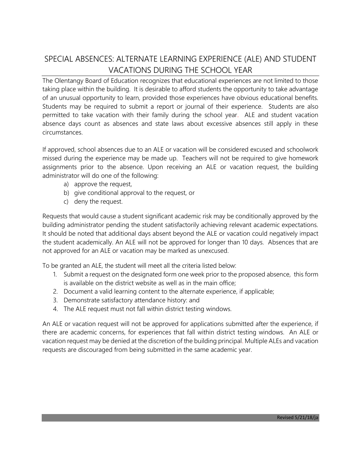## SPECIAL ABSENCES: ALTERNATE LEARNING EXPERIENCE (ALE) AND STUDENT VACATIONS DURING THE SCHOOL YEAR

The Olentangy Board of Education recognizes that educational experiences are not limited to those taking place within the building. It is desirable to afford students the opportunity to take advantage of an unusual opportunity to learn, provided those experiences have obvious educational benefits. Students may be required to submit a report or journal of their experience. Students are also permitted to take vacation with their family during the school year. ALE and student vacation absence days count as absences and state laws about excessive absences still apply in these circumstances.

If approved, school absences due to an ALE or vacation will be considered excused and schoolwork missed during the experience may be made up. Teachers will not be required to give homework assignments prior to the absence. Upon receiving an ALE or vacation request, the building administrator will do one of the following:

- a) approve the request,
- b) give conditional approval to the request, or
- c) deny the request.

Requests that would cause a student significant academic risk may be conditionally approved by the building administrator pending the student satisfactorily achieving relevant academic expectations. It should be noted that additional days absent beyond the ALE or vacation could negatively impact the student academically. An ALE will not be approved for longer than 10 days. Absences that are not approved for an ALE or vacation may be marked as unexcused.

To be granted an ALE, the student will meet all the criteria listed below:

- 1. Submit a request on the designated form one week prior to the proposed absence, this form is available on the district website as well as in the main office;
- 2. Document a valid learning content to the alternate experience, if applicable;
- 3. Demonstrate satisfactory attendance history: and
- 4. The ALE request must not fall within district testing windows.

An ALE or vacation request will not be approved for applications submitted after the experience, if there are academic concerns, for experiences that fall within district testing windows. An ALE or vacation request may be denied at the discretion of the building principal. Multiple ALEs and vacation requests are discouraged from being submitted in the same academic year.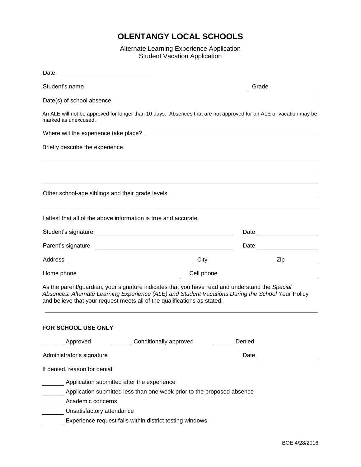## **OLENTANGY LOCAL SCHOOLS**

Alternate Learning Experience Application Student Vacation Application

| Date<br><u> 1980 - Johann Stoff, fransk konge og det ble stoffen og det ble stoffen og det ble stoffen og det ble stoffen</u>                                                                                                        |                                                                                                                                                                                                                                      |
|--------------------------------------------------------------------------------------------------------------------------------------------------------------------------------------------------------------------------------------|--------------------------------------------------------------------------------------------------------------------------------------------------------------------------------------------------------------------------------------|
|                                                                                                                                                                                                                                      | Grade <b>Contract Contract Contract Contract Contract Contract Contract Contract Contract Contract Contract Contract Contract Contract Contract Contract Contract Contract Contract Contract Contract Contract Contract Contract</b> |
|                                                                                                                                                                                                                                      |                                                                                                                                                                                                                                      |
| marked as unexcused.                                                                                                                                                                                                                 | An ALE will not be approved for longer than 10 days. Absences that are not approved for an ALE or vacation may be                                                                                                                    |
|                                                                                                                                                                                                                                      |                                                                                                                                                                                                                                      |
| Briefly describe the experience.                                                                                                                                                                                                     |                                                                                                                                                                                                                                      |
|                                                                                                                                                                                                                                      |                                                                                                                                                                                                                                      |
| I attest that all of the above information is true and accurate.                                                                                                                                                                     |                                                                                                                                                                                                                                      |
|                                                                                                                                                                                                                                      |                                                                                                                                                                                                                                      |
| Parent's signature <u>expression and the set of the set of the set of the set of the set of the set of the set of the set of the set of the set of the set of the set of the set of the set of the set of the set of the set of </u> | Date <u>_________</u>                                                                                                                                                                                                                |
|                                                                                                                                                                                                                                      |                                                                                                                                                                                                                                      |
|                                                                                                                                                                                                                                      |                                                                                                                                                                                                                                      |
| and believe that your request meets all of the qualifications as stated.                                                                                                                                                             | As the parent/guardian, your signature indicates that you have read and understand the Special<br>Absences: Alternate Learning Experience (ALE) and Student Vacations During the School Year Policy                                  |
| FOR SCHOOL USE ONLY                                                                                                                                                                                                                  |                                                                                                                                                                                                                                      |
| <b>Conditionally approved</b><br>Approved                                                                                                                                                                                            | Denied                                                                                                                                                                                                                               |
| Administrator's signature                                                                                                                                                                                                            | Date and the state of the state of the state of the state of the state of the state of the state of the state of the state of the state of the state of the state of the state of the state of the state of the state of the s       |
| If denied, reason for denial:                                                                                                                                                                                                        |                                                                                                                                                                                                                                      |
| Application submitted after the experience<br>Application submitted less than one week prior to the proposed absence<br>Academic concerns<br>Unsatisfactory attendance<br>Experience request falls within district testing windows   |                                                                                                                                                                                                                                      |